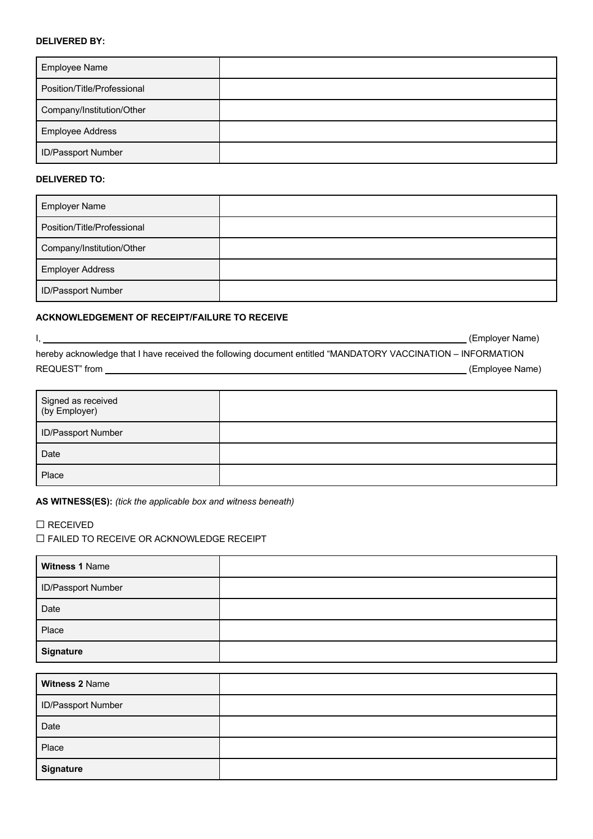## **DELIVERED BY:**

| <b>Employee Name</b>        |  |
|-----------------------------|--|
| Position/Title/Professional |  |
| Company/Institution/Other   |  |
| <b>Employee Address</b>     |  |
| <b>ID/Passport Number</b>   |  |

### **DELIVERED TO:**

| <b>Employer Name</b>        |  |
|-----------------------------|--|
| Position/Title/Professional |  |
| Company/Institution/Other   |  |
| <b>Employer Address</b>     |  |
| <b>ID/Passport Number</b>   |  |

## **ACKNOWLEDGEMENT OF RECEIPT/FAILURE TO RECEIVE**

|                                                                                                              | (Employer Name) |
|--------------------------------------------------------------------------------------------------------------|-----------------|
| hereby acknowledge that I have received the following document entitled "MANDATORY VACCINATION - INFORMATION |                 |
| REQUEST" from                                                                                                | (Employee Name) |

| Signed as received<br>(by Employer) |  |
|-------------------------------------|--|
| ID/Passport Number                  |  |
| Date                                |  |
| Place                               |  |

**AS WITNESS(ES):** *(tick the applicable box and witness beneath)*

## ☐ RECEIVED

☐ FAILED TO RECEIVE OR ACKNOWLEDGE RECEIPT

| Witness 1 Name     |  |
|--------------------|--|
| ID/Passport Number |  |
| Date               |  |
| Place              |  |
| <b>Signature</b>   |  |

| <b>Witness 2 Name</b> |  |
|-----------------------|--|
| ID/Passport Number    |  |
| Date                  |  |
| Place                 |  |
| <b>Signature</b>      |  |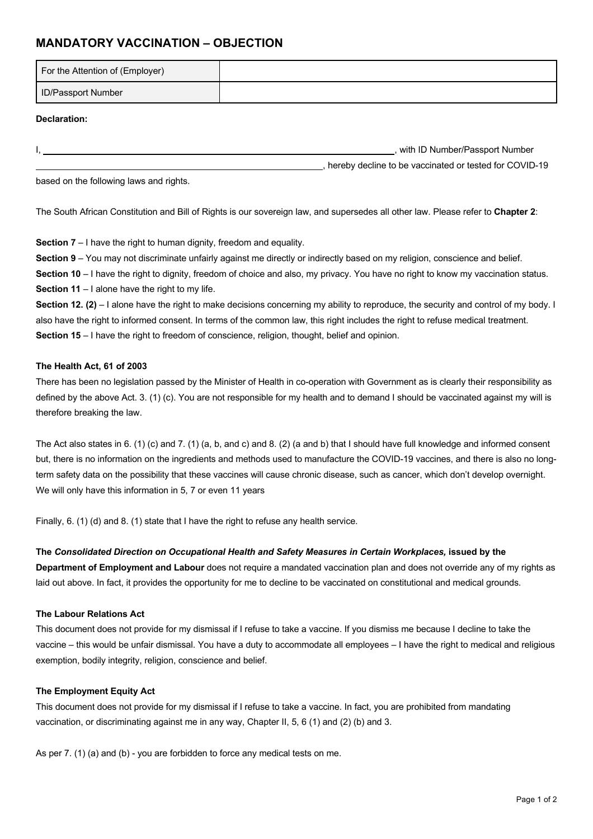# **MANDATORY VACCINATION – OBJECTION**

| For the Attention of (Employer) |  |
|---------------------------------|--|
| <b>ID/Passport Number</b>       |  |

### **Declaration:**

I, the contract of the contract of the contract of the contract of the contract of the contract of the contract of the contract of the contract of the contract of the contract of the contract of the contract of the contrac , hereby decline to be vaccinated or tested for COVID-19

based on the following laws and rights.

The South African Constitution and Bill of Rights is our sovereign law, and supersedes all other law. Please refer to **Chapter 2**:

**Section 7** – I have the right to human dignity, freedom and equality.

**Section 9** – You may not discriminate unfairly against me directly or indirectly based on my religion, conscience and belief.

**Section 10** – I have the right to dignity, freedom of choice and also, my privacy. You have no right to know my vaccination status. **Section 11** – I alone have the right to my life.

**Section 12. (2)** – I alone have the right to make decisions concerning my ability to reproduce, the security and control of my body. I also have the right to informed consent. In terms of the common law, this right includes the right to refuse medical treatment. **Section 15** – I have the right to freedom of conscience, religion, thought, belief and opinion.

#### **The Health Act, 61 of 2003**

There has been no legislation passed by the Minister of Health in co-operation with Government as is clearly their responsibility as defined by the above Act. 3. (1) (c). You are not responsible for my health and to demand I should be vaccinated against my will is therefore breaking the law.

The Act also states in 6. (1) (c) and 7. (1) (a, b, and c) and 8. (2) (a and b) that I should have full knowledge and informed consent but, there is no information on the ingredients and methods used to manufacture the COVID-19 vaccines, and there is also no longterm safety data on the possibility that these vaccines will cause chronic disease, such as cancer, which don't develop overnight. We will only have this information in 5, 7 or even 11 years

Finally, 6. (1) (d) and 8. (1) state that I have the right to refuse any health service.

### **The** *Consolidated Direction on Occupational Health and Safety Measures in Certain Workplaces,* **issued by the**

**Department of Employment and Labour** does not require a mandated vaccination plan and does not override any of my rights as laid out above. In fact, it provides the opportunity for me to decline to be vaccinated on constitutional and medical grounds.

#### **The Labour Relations Act**

This document does not provide for my dismissal if I refuse to take a vaccine. If you dismiss me because I decline to take the vaccine – this would be unfair dismissal. You have a duty to accommodate all employees – I have the right to medical and religious exemption, bodily integrity, religion, conscience and belief.

### **The Employment Equity Act**

This document does not provide for my dismissal if I refuse to take a vaccine. In fact, you are prohibited from mandating vaccination, or discriminating against me in any way, Chapter II, 5, 6 (1) and (2) (b) and 3.

As per 7. (1) (a) and (b) - you are forbidden to force any medical tests on me.